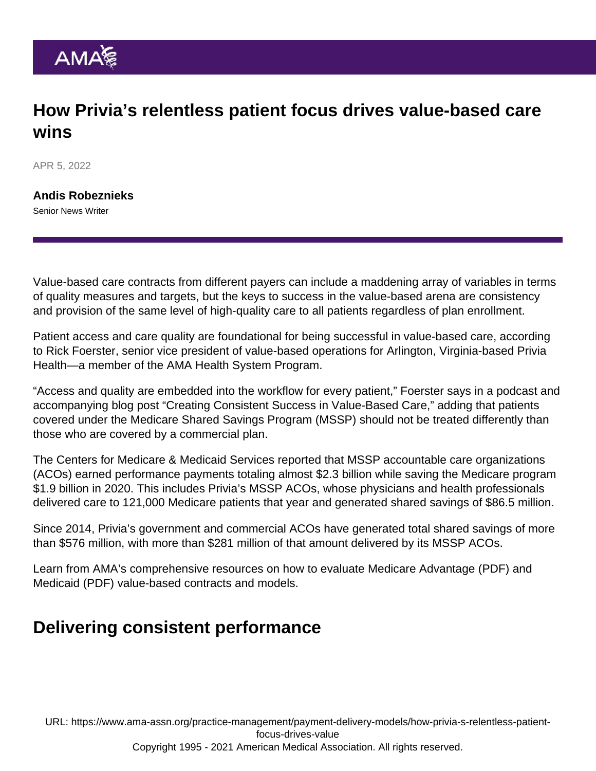## How Privia's relentless patient focus drives value-based care wins

APR 5, 2022

[Andis Robeznieks](https://www.ama-assn.org/news-leadership-viewpoints/authors-news-leadership-viewpoints/andis-robeznieks) Senior News Writer

Value-based care contracts from different payers can include a maddening array of variables in terms of quality measures and targets, but the keys to success in the value-based arena are consistency and provision of the same level of high-quality care to all patients regardless of plan enrollment.

Patient access and care quality are foundational for being successful in value-based care, according to Rick Foerster, senior vice president of value-based operations for Arlington, Virginia-based [Privia](https://www.ama-assn.org/about/leadership/how-privia-health-moves-medicine) [Health—](https://www.ama-assn.org/about/leadership/how-privia-health-moves-medicine)a member of the [AMA Health System Program](https://www.ama-assn.org/amaone/ama-health-system-program).

"Access and quality are embedded into the workflow for every patient," Foerster says in a podcast and accompanying blog post "[Creating Consistent Success in Value-Based Care,](https://www.priviahealth.com/blog/creating-consistent-success-in-value-based-care/)" adding that patients covered under the Medicare Shared Savings Program (MSSP) should not be treated differently than those who are covered by a commercial plan.

The Centers for Medicare & Medicaid Services reported that MSSP accountable care organizations (ACOs) earned performance payments totaling almost \$2.3 billion while saving the Medicare program \$1.9 billion in 2020. This includes Privia's MSSP ACOs, whose physicians and health professionals delivered care to 121,000 Medicare patients that year and generated shared savings of \$86.5 million.

Since 2014, Privia's government and commercial ACOs have generated total shared savings of more than \$576 million, with more than \$281 million of that amount delivered by its MSSP ACOs.

Learn from AMA's comprehensive resources on how to evaluate [Medicare Advantage](https://www.ama-assn.org/system/files/2019-04/medicare-advantage-value-based-contracts.pdf) (PDF) and [Medicaid](https://www.ama-assn.org/system/files/2019-04/medicaid-value-based-care-models.pdf) (PDF) value-based contracts and models.

## Delivering consistent performance

URL: [https://www.ama-assn.org/practice-management/payment-delivery-models/how-privia-s-relentless-patient](https://www.ama-assn.org/practice-management/payment-delivery-models/how-privia-s-relentless-patient-focus-drives-value)[focus-drives-value](https://www.ama-assn.org/practice-management/payment-delivery-models/how-privia-s-relentless-patient-focus-drives-value)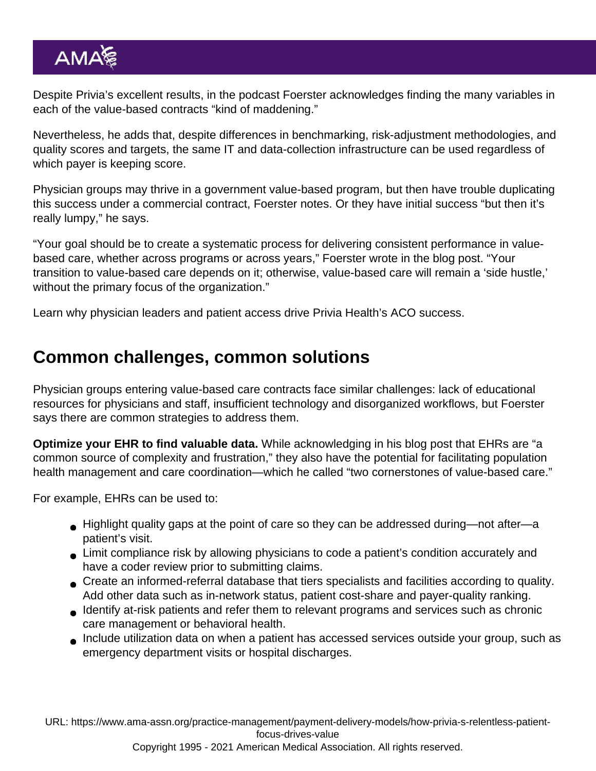Despite Privia's excellent results, in the podcast Foerster acknowledges finding the many variables in each of the value-based contracts "kind of maddening."

Nevertheless, he adds that, despite differences in benchmarking, risk-adjustment methodologies, and quality scores and targets, the same IT and data-collection infrastructure can be used regardless of which payer is keeping score.

Physician groups may thrive in a government value-based program, but then have trouble duplicating this success under a commercial contract, Foerster notes. Or they have initial success "but then it's really lumpy," he says.

"Your goal should be to create a systematic process for delivering consistent performance in valuebased care, whether across programs or across years," Foerster wrote in the blog post. "Your [transition to value-based care](https://www.ama-assn.org/topics/transitioning-value-based-care) depends on it; otherwise, value-based care will remain a 'side hustle,' without the primary focus of the organization."

Learn why [physician leaders and patient access drive Privia Health's ACO success](https://www.ama-assn.org/practice-management/payment-delivery-models/physician-leaders-patient-access-drive-privia-health-s).

## Common challenges, common solutions

Physician groups entering value-based care contracts face similar challenges: lack of educational resources for physicians and staff, insufficient technology and disorganized workflows, but Foerster says there are common strategies to address them.

Optimize your EHR to find valuable data. While acknowledging in his blog post that EHRs are "a common source of complexity and frustration," they also have the potential for facilitating population health management and care coordination—which he called "two cornerstones of value-based care."

For example, EHRs can be used to:

- Highlight quality gaps at the point of care so they can be addressed during—not after—a patient's visit.
- Limit compliance risk by allowing physicians to code a patient's condition accurately and have a coder review prior to submitting claims.
- Create an informed-referral database that tiers specialists and facilities according to quality. Add other data such as in-network status, patient cost-share and payer-quality ranking.
- Identify at-risk patients and refer them to relevant programs and services such as chronic care management or behavioral health.
- Include utilization data on when a patient has accessed services outside your group, such as emergency department visits or hospital discharges.

URL: [https://www.ama-assn.org/practice-management/payment-delivery-models/how-privia-s-relentless-patient](https://www.ama-assn.org/practice-management/payment-delivery-models/how-privia-s-relentless-patient-focus-drives-value)[focus-drives-value](https://www.ama-assn.org/practice-management/payment-delivery-models/how-privia-s-relentless-patient-focus-drives-value)